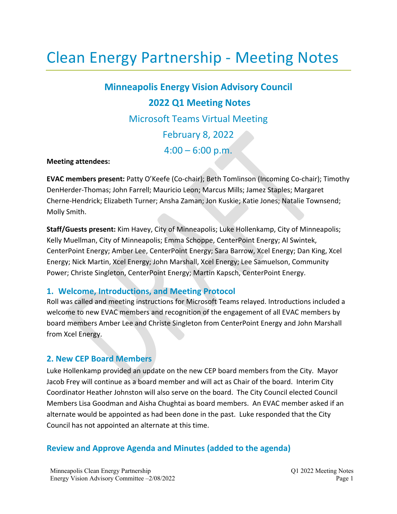# Clean Energy Partnership - Meeting Notes

**Minneapolis Energy Vision Advisory Council 2022 Q1 Meeting Notes** Microsoft Teams Virtual Meeting February 8, 2022  $4:00 - 6:00 \text{ p.m.}$ 

#### **Meeting attendees:**

**EVAC members present:** Patty O'Keefe (Co-chair); Beth Tomlinson (Incoming Co-chair); Timothy DenHerder-Thomas; John Farrell; Mauricio Leon; Marcus Mills; Jamez Staples; Margaret Cherne-Hendrick; Elizabeth Turner; Ansha Zaman; Jon Kuskie; Katie Jones; Natalie Townsend; Molly Smith.

**Staff/Guests present:** Kim Havey, City of Minneapolis; Luke Hollenkamp, City of Minneapolis; Kelly Muellman, City of Minneapolis; Emma Schoppe, CenterPoint Energy; Al Swintek, CenterPoint Energy; Amber Lee, CenterPoint Energy; Sara Barrow, Xcel Energy; Dan King, Xcel Energy; Nick Martin, Xcel Energy; John Marshall, Xcel Energy; Lee Samuelson, Community Power; Christe Singleton, CenterPoint Energy; Martin Kapsch, CenterPoint Energy.

#### **1. Welcome, Introductions, and Meeting Protocol**

Roll was called and meeting instructions for Microsoft Teams relayed. Introductions included a welcome to new EVAC members and recognition of the engagement of all EVAC members by board members Amber Lee and Christe Singleton from CenterPoint Energy and John Marshall from Xcel Energy.

#### **2. New CEP Board Members**

Luke Hollenkamp provided an update on the new CEP board members from the City. Mayor Jacob Frey will continue as a board member and will act as Chair of the board. Interim City Coordinator Heather Johnston will also serve on the board. The City Council elected Council Members Lisa Goodman and Aisha Chughtai as board members. An EVAC member asked if an alternate would be appointed as had been done in the past. Luke responded that the City Council has not appointed an alternate at this time.

### **Review and Approve Agenda and Minutes (added to the agenda)**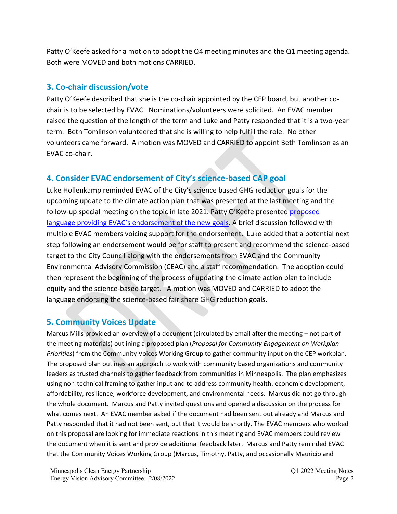Patty O'Keefe asked for a motion to adopt the Q4 meeting minutes and the Q1 meeting agenda. Both were MOVED and both motions CARRIED.

## **3. Co-chair discussion/vote**

Patty O'Keefe described that she is the co-chair appointed by the CEP board, but another cochair is to be selected by EVAC. Nominations/volunteers were solicited. An EVAC member raised the question of the length of the term and Luke and Patty responded that it is a two-year term. Beth Tomlinson volunteered that she is willing to help fulfill the role. No other volunteers came forward. A motion was MOVED and CARRIED to appoint Beth Tomlinson as an EVAC co-chair.

# **4. Consider EVAC endorsement of City's science-based CAP goal**

Luke Hollenkamp reminded EVAC of the City's science based GHG reduction goals for the upcoming update to the climate action plan that was presented at the last meeting and the follow-up special meeting on the topic in late 2021. Patty O'Keefe presented [proposed](https://mplscleanenergypartnership.org/wp-content/uploads/2022/02/EVAC-Resolution-for-City-GHG-SBT-Adoption_DRAFT.pdf)  [language providing EVAC's endorsement of the new goals.](https://mplscleanenergypartnership.org/wp-content/uploads/2022/02/EVAC-Resolution-for-City-GHG-SBT-Adoption_DRAFT.pdf) A brief discussion followed with multiple EVAC members voicing support for the endorsement. Luke added that a potential next step following an endorsement would be for staff to present and recommend the science-based target to the City Council along with the endorsements from EVAC and the Community Environmental Advisory Commission (CEAC) and a staff recommendation. The adoption could then represent the beginning of the process of updating the climate action plan to include equity and the science-based target. A motion was MOVED and CARRIED to adopt the language endorsing the science-based fair share GHG reduction goals.

# **5. Community Voices Update**

Marcus Mills provided an overview of a document (circulated by email after the meeting – not part of the meeting materials) outlining a proposed plan (*Proposal for Community Engagement on Workplan Priorities*) from the Community Voices Working Group to gather community input on the CEP workplan. The proposed plan outlines an approach to work with community based organizations and community leaders as trusted channels to gather feedback from communities in Minneapolis. The plan emphasizes using non-technical framing to gather input and to address community health, economic development, affordability, resilience, workforce development, and environmental needs. Marcus did not go through the whole document. Marcus and Patty invited questions and opened a discussion on the process for what comes next. An EVAC member asked if the document had been sent out already and Marcus and Patty responded that it had not been sent, but that it would be shortly. The EVAC members who worked on this proposal are looking for immediate reactions in this meeting and EVAC members could review the document when it is sent and provide additional feedback later. Marcus and Patty reminded EVAC that the Community Voices Working Group (Marcus, Timothy, Patty, and occasionally Mauricio and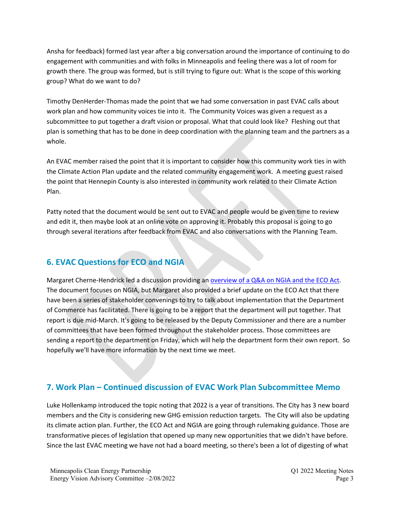Ansha for feedback) formed last year after a big conversation around the importance of continuing to do engagement with communities and with folks in Minneapolis and feeling there was a lot of room for growth there. The group was formed, but is still trying to figure out: What is the scope of this working group? What do we want to do?

Timothy DenHerder-Thomas made the point that we had some conversation in past EVAC calls about work plan and how community voices tie into it. The Community Voices was given a request as a subcommittee to put together a draft vision or proposal. What that could look like? Fleshing out that plan is something that has to be done in deep coordination with the planning team and the partners as a whole.

An EVAC member raised the point that it is important to consider how this community work ties in with the Climate Action Plan update and the related community engagement work. A meeting guest raised the point that Hennepin County is also interested in community work related to their Climate Action Plan.

Patty noted that the document would be sent out to EVAC and people would be given time to review and edit it, then maybe look at an online vote on approving it. Probably this proposal is going to go through several iterations after feedback from EVAC and also conversations with the Planning Team.

# **6. EVAC Questions for ECO and NGIA**

Margaret Cherne-Hendrick led a discussion providing an [overview of a Q&A on NGIA and the ECO Act.](https://mplscleanenergypartnership.org/wp-content/uploads/2022/02/Questions-for-ECO-NGIA.pdf) The document focuses on NGIA, but Margaret also provided a brief update on the ECO Act that there have been a series of stakeholder convenings to try to talk about implementation that the Department of Commerce has facilitated. There is going to be a report that the department will put together. That report is due mid-March. It's going to be released by the Deputy Commissioner and there are a number of committees that have been formed throughout the stakeholder process. Those committees are sending a report to the department on Friday, which will help the department form their own report. So hopefully we'll have more information by the next time we meet.

# **7. Work Plan – Continued discussion of EVAC Work Plan Subcommittee Memo**

Luke Hollenkamp introduced the topic noting that 2022 is a year of transitions. The City has 3 new board members and the City is considering new GHG emission reduction targets. The City will also be updating its climate action plan. Further, the ECO Act and NGIA are going through rulemaking guidance. Those are transformative pieces of legislation that opened up many new opportunities that we didn't have before. Since the last EVAC meeting we have not had a board meeting, so there's been a lot of digesting of what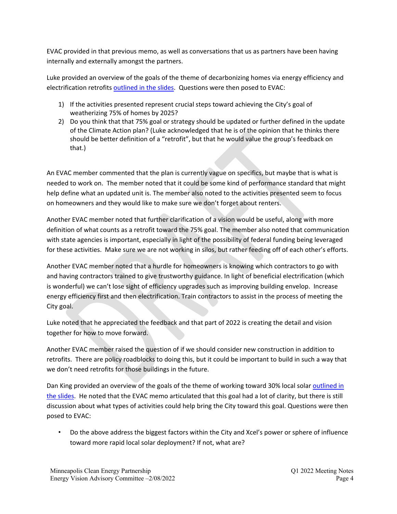EVAC provided in that previous memo, as well as conversations that us as partners have been having internally and externally amongst the partners.

Luke provided an overview of the goals of the theme of decarbonizing homes via energy efficiency and electrification retrofits [outlined in the slides.](https://mplscleanenergypartnership.org/wp-content/uploads/2022/02/EVAC-Q1-2022-Meeting_20220208.pdf) Questions were then posed to EVAC:

- 1) If the activities presented represent crucial steps toward achieving the City's goal of weatherizing 75% of homes by 2025?
- 2) Do you think that that 75% goal or strategy should be updated or further defined in the update of the Climate Action plan? (Luke acknowledged that he is of the opinion that he thinks there should be better definition of a "retrofit", but that he would value the group's feedback on that.)

An EVAC member commented that the plan is currently vague on specifics, but maybe that is what is needed to work on. The member noted that it could be some kind of performance standard that might help define what an updated unit is. The member also noted to the activities presented seem to focus on homeowners and they would like to make sure we don't forget about renters.

Another EVAC member noted that further clarification of a vision would be useful, along with more definition of what counts as a retrofit toward the 75% goal. The member also noted that communication with state agencies is important, especially in light of the possibility of federal funding being leveraged for these activities. Make sure we are not working in silos, but rather feeding off of each other's efforts.

Another EVAC member noted that a hurdle for homeowners is knowing which contractors to go with and having contractors trained to give trustworthy guidance. In light of beneficial electrification (which is wonderful) we can't lose sight of efficiency upgrades such as improving building envelop. Increase energy efficiency first and then electrification. Train contractors to assist in the process of meeting the City goal.

Luke noted that he appreciated the feedback and that part of 2022 is creating the detail and vision together for how to move forward.

Another EVAC member raised the question of if we should consider new construction in addition to retrofits. There are policy roadblocks to doing this, but it could be important to build in such a way that we don't need retrofits for those buildings in the future.

Dan King provided an overview of the goals of the theme of working toward 30% local solar [outlined in](https://mplscleanenergypartnership.org/wp-content/uploads/2022/02/EVAC-Q1-2022-Meeting_20220208.pdf)  [the slides.](https://mplscleanenergypartnership.org/wp-content/uploads/2022/02/EVAC-Q1-2022-Meeting_20220208.pdf) He noted that the EVAC memo articulated that this goal had a lot of clarity, but there is still discussion about what types of activities could help bring the City toward this goal. Questions were then posed to EVAC:

• Do the above address the biggest factors within the City and Xcel's power or sphere of influence toward more rapid local solar deployment? If not, what are?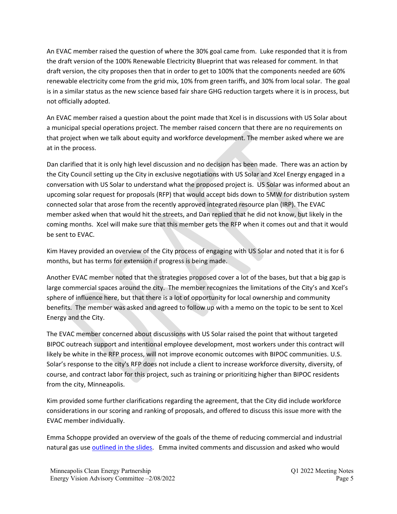An EVAC member raised the question of where the 30% goal came from. Luke responded that it is from the draft version of the 100% Renewable Electricity Blueprint that was released for comment. In that draft version, the city proposes then that in order to get to 100% that the components needed are 60% renewable electricity come from the grid mix, 10% from green tariffs, and 30% from local solar. The goal is in a similar status as the new science based fair share GHG reduction targets where it is in process, but not officially adopted.

An EVAC member raised a question about the point made that Xcel is in discussions with US Solar about a municipal special operations project. The member raised concern that there are no requirements on that project when we talk about equity and workforce development. The member asked where we are at in the process.

Dan clarified that it is only high level discussion and no decision has been made. There was an action by the City Council setting up the City in exclusive negotiations with US Solar and Xcel Energy engaged in a conversation with US Solar to understand what the proposed project is. US Solar was informed about an upcoming solar request for proposals (RFP) that would accept bids down to 5MW for distribution system connected solar that arose from the recently approved integrated resource plan (IRP). The EVAC member asked when that would hit the streets, and Dan replied that he did not know, but likely in the coming months. Xcel will make sure that this member gets the RFP when it comes out and that it would be sent to EVAC.

Kim Havey provided an overview of the City process of engaging with US Solar and noted that it is for 6 months, but has terms for extension if progress is being made.

Another EVAC member noted that the strategies proposed cover a lot of the bases, but that a big gap is large commercial spaces around the city. The member recognizes the limitations of the City's and Xcel's sphere of influence here, but that there is a lot of opportunity for local ownership and community benefits. The member was asked and agreed to follow up with a memo on the topic to be sent to Xcel Energy and the City.

The EVAC member concerned about discussions with US Solar raised the point that without targeted BIPOC outreach support and intentional employee development, most workers under this contract will likely be white in the RFP process, will not improve economic outcomes with BIPOC communities. U.S. Solar's response to the city's RFP does not include a client to increase workforce diversity, diversity, of course, and contract labor for this project, such as training or prioritizing higher than BIPOC residents from the city, Minneapolis.

Kim provided some further clarifications regarding the agreement, that the City did include workforce considerations in our scoring and ranking of proposals, and offered to discuss this issue more with the EVAC member individually.

Emma Schoppe provided an overview of the goals of the theme of reducing commercial and industrial natural gas use [outlined in the slides.](https://mplscleanenergypartnership.org/wp-content/uploads/2022/02/EVAC-Q1-2022-Meeting_20220208.pdf) Emma invited comments and discussion and asked who would